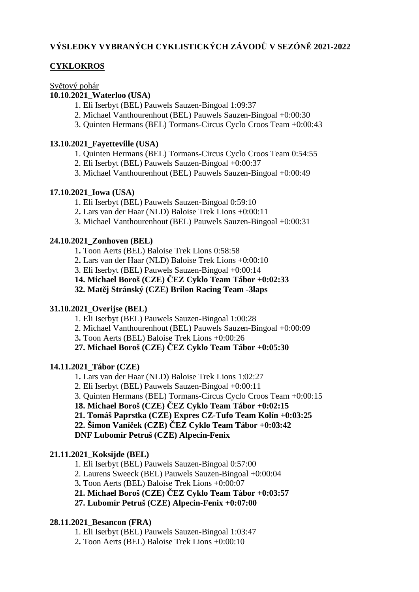# **VÝSLEDKY VYBRANÝCH CYKLISTICKÝCH ZÁVODŮ V SEZÓNĚ 2021-2022**

# **CYKLOKROS**

Světový pohár

## **10.10.2021\_Waterloo (USA)**

- 1. Eli Iserbyt (BEL) Pauwels Sauzen-Bingoal 1:09:37
- 2. Michael Vanthourenhout (BEL) Pauwels Sauzen-Bingoal +0:00:30
- 3. Quinten Hermans (BEL) Tormans-Circus Cyclo Croos Team +0:00:43

# **13.10.2021\_Fayetteville (USA)**

- 1. Quinten Hermans (BEL) Tormans-Circus Cyclo Croos Team 0:54:55
- 2. Eli Iserbyt (BEL) Pauwels Sauzen-Bingoal +0:00:37
- 3. Michael Vanthourenhout (BEL) Pauwels Sauzen-Bingoal +0:00:49

# **17.10.2021\_Iowa (USA)**

- 1. Eli Iserbyt (BEL) Pauwels Sauzen-Bingoal 0:59:10
- 2**.** Lars van der Haar (NLD) Baloise Trek Lions +0:00:11
- 3. Michael Vanthourenhout (BEL) Pauwels Sauzen-Bingoal +0:00:31

# **24.10.2021\_Zonhoven (BEL)**

1**.** Toon Aerts (BEL) Baloise Trek Lions 0:58:58

2**.** Lars van der Haar (NLD) Baloise Trek Lions +0:00:10

3. Eli Iserbyt (BEL) Pauwels Sauzen-Bingoal +0:00:14

- **14. Michael Boroš (CZE) ČEZ Cyklo Team Tábor +0:02:33**
- **32. Matěj Stránský (CZE) Brilon Racing Team -3laps**

## **31.10.2021\_Overijse (BEL)**

1. Eli Iserbyt (BEL) Pauwels Sauzen-Bingoal 1:00:28

- 2. Michael Vanthourenhout (BEL) Pauwels Sauzen-Bingoal +0:00:09
- 3**.** Toon Aerts (BEL) Baloise Trek Lions +0:00:26

**27. Michael Boroš (CZE) ČEZ Cyklo Team Tábor +0:05:30**

## **14.11.2021\_Tábor (CZE)**

1**.** Lars van der Haar (NLD) Baloise Trek Lions 1:02:27

- 2. Eli Iserbyt (BEL) Pauwels Sauzen-Bingoal +0:00:11
- 3. Quinten Hermans (BEL) Tormans-Circus Cyclo Croos Team +0:00:15
- **18. Michael Boroš (CZE) ČEZ Cyklo Team Tábor +0:02:15**
- **21. Tomáš Paprstka (CZE) Expres CZ-Tufo Team Kolín +0:03:25**
- **22. Šimon Vaníček (CZE) ČEZ Cyklo Team Tábor +0:03:42**

**DNF Lubomír Petruš (CZE) Alpecin-Fenix**

# **21.11.2021\_Koksijde (BEL)**

1. Eli Iserbyt (BEL) Pauwels Sauzen-Bingoal 0:57:00

2. Laurens Sweeck (BEL) Pauwels Sauzen-Bingoal +0:00:04

3**.** Toon Aerts (BEL) Baloise Trek Lions +0:00:07

**21. Michael Boroš (CZE) ČEZ Cyklo Team Tábor +0:03:57**

**27. Lubomír Petruš (CZE) Alpecin-Fenix +0:07:00**

# **28.11.2021\_Besancon (FRA)**

1. Eli Iserbyt (BEL) Pauwels Sauzen-Bingoal 1:03:47

2**.** Toon Aerts (BEL) Baloise Trek Lions +0:00:10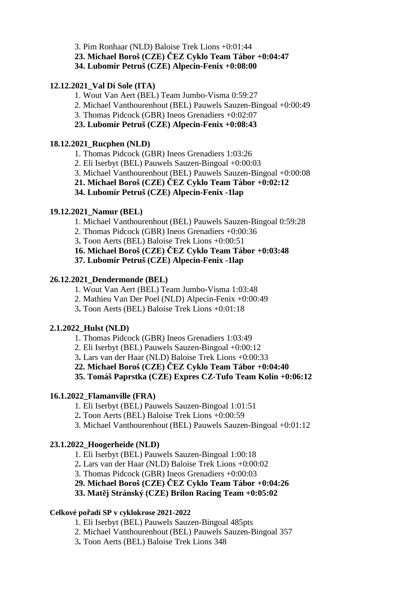3. Pim Ronhaar (NLD) Baloise Trek Lions +0:01:44

**23. Michael Boroš (CZE) ČEZ Cyklo Team Tábor +0:04:47**

**34. Lubomír Petruš (CZE) Alpecin-Fenix +0:08:00**

### **12.12.2021\_Val Di Sole (ITA)**

1. Wout Van Aert (BEL) Team Jumbo-Visma 0:59:27

- 2. Michael Vanthourenhout (BEL) Pauwels Sauzen-Bingoal +0:00:49
- 3. Thomas Pidcock (GBR) Ineos Grenadiers +0:02:07

### **23. Lubomír Petruš (CZE) Alpecin-Fenix +0:08:43**

### **18.12.2021\_Rucphen (NLD)**

- 1. Thomas Pidcock (GBR) Ineos Grenadiers 1:03:26
- 2. Eli Iserbyt (BEL) Pauwels Sauzen-Bingoal +0:00:03
- 3. Michael Vanthourenhout (BEL) Pauwels Sauzen-Bingoal +0:00:08
- **21. Michael Boroš (CZE) ČEZ Cyklo Team Tábor +0:02:12**
- **34. Lubomír Petruš (CZE) Alpecin-Fenix -1lap**

### **19.12.2021\_Namur (BEL)**

- 1. Michael Vanthourenhout (BEL) Pauwels Sauzen-Bingoal 0:59:28
- 2. Thomas Pidcock (GBR) Ineos Grenadiers +0:00:36
- 3**.** Toon Aerts (BEL) Baloise Trek Lions +0:00:51

**16. Michael Boroš (CZE) ČEZ Cyklo Team Tábor +0:03:48**

**37. Lubomír Petruš (CZE) Alpecin-Fenix -1lap**

### **26.12.2021\_Dendermonde (BEL)**

- 1. Wout Van Aert (BEL) Team Jumbo-Visma 1:03:48
- 2. Mathieu Van Der Poel (NLD) Alpecin-Fenix +0:00:49
- 3**.** Toon Aerts (BEL) Baloise Trek Lions +0:01:18

## **2.1.2022\_Hulst (NLD)**

- 1. Thomas Pidcock (GBR) Ineos Grenadiers 1:03:49
- 2. Eli Iserbyt (BEL) Pauwels Sauzen-Bingoal +0:00:12
- 3**.** Lars van der Haar (NLD) Baloise Trek Lions +0:00:33
- **22. Michael Boroš (CZE) ČEZ Cyklo Team Tábor +0:04:40**

**35. Tomáš Paprstka (CZE) Expres CZ-Tufo Team Kolín +0:06:12**

#### **16.1.2022\_Flamanville (FRA)**

- 1. Eli Iserbyt (BEL) Pauwels Sauzen-Bingoal 1:01:51
- 2**.** Toon Aerts (BEL) Baloise Trek Lions +0:00:59
- 3. Michael Vanthourenhout (BEL) Pauwels Sauzen-Bingoal +0:01:12

## **23.1.2022\_Hoogerheide (NLD)**

- 1. Eli Iserbyt (BEL) Pauwels Sauzen-Bingoal 1:00:18
- 2**.** Lars van der Haar (NLD) Baloise Trek Lions +0:00:02
- 3. Thomas Pidcock (GBR) Ineos Grenadiers +0:00:03
- **29. Michael Boroš (CZE) ČEZ Cyklo Team Tábor +0:04:26**

**33. Matěj Stránský (CZE) Brilon Racing Team +0:05:02**

#### **Celkové pořadí SP v cyklokrose 2021-2022**

- 1. Eli Iserbyt (BEL) Pauwels Sauzen-Bingoal 485pts
- 2. Michael Vanthourenhout (BEL) Pauwels Sauzen-Bingoal 357
- 3**.** Toon Aerts (BEL) Baloise Trek Lions 348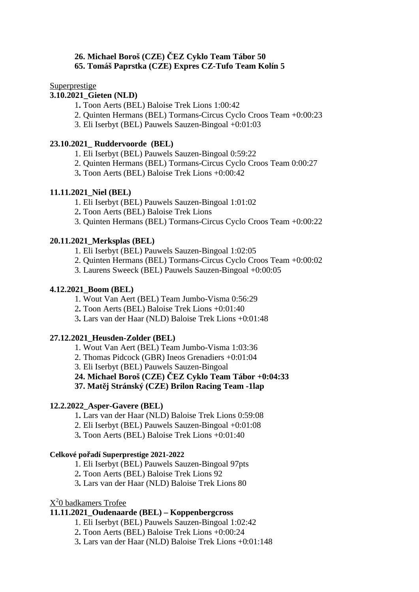#### **26. Michael Boroš (CZE) ČEZ Cyklo Team Tábor 50 65. Tomáš Paprstka (CZE) Expres CZ-Tufo Team Kolín 5**

### **Superprestige**

#### **3.10.2021\_Gieten (NLD)**

- 1**.** Toon Aerts (BEL) Baloise Trek Lions 1:00:42
- 2. Quinten Hermans (BEL) Tormans-Circus Cyclo Croos Team +0:00:23
- 3. Eli Iserbyt (BEL) Pauwels Sauzen-Bingoal +0:01:03

### **23.10.2021\_ Ruddervoorde (BEL)**

- 1. Eli Iserbyt (BEL) Pauwels Sauzen-Bingoal 0:59:22
- 2. Quinten Hermans (BEL) Tormans-Circus Cyclo Croos Team 0:00:27
- 3**.** Toon Aerts (BEL) Baloise Trek Lions +0:00:42

## **11.11.2021\_Niel (BEL)**

- 1. Eli Iserbyt (BEL) Pauwels Sauzen-Bingoal 1:01:02
- 2**.** Toon Aerts (BEL) Baloise Trek Lions
- 3. Quinten Hermans (BEL) Tormans-Circus Cyclo Croos Team +0:00:22

### **20.11.2021\_Merksplas (BEL)**

- 1. Eli Iserbyt (BEL) Pauwels Sauzen-Bingoal 1:02:05
- 2. Quinten Hermans (BEL) Tormans-Circus Cyclo Croos Team +0:00:02
- 3. Laurens Sweeck (BEL) Pauwels Sauzen-Bingoal +0:00:05

### **4.12.2021\_Boom (BEL)**

- 1. Wout Van Aert (BEL) Team Jumbo-Visma 0:56:29
- 2**.** Toon Aerts (BEL) Baloise Trek Lions +0:01:40
- 3**.** Lars van der Haar (NLD) Baloise Trek Lions +0:01:48

## **27.12.2021\_Heusden-Zolder (BEL)**

- 1. Wout Van Aert (BEL) Team Jumbo-Visma 1:03:36
- 2. Thomas Pidcock (GBR) Ineos Grenadiers +0:01:04
- 3. Eli Iserbyt (BEL) Pauwels Sauzen-Bingoal
- **24. Michael Boroš (CZE) ČEZ Cyklo Team Tábor +0:04:33**

**37. Matěj Stránský (CZE) Brilon Racing Team -1lap**

#### **12.2.2022\_Asper-Gavere (BEL)**

- 1**.** Lars van der Haar (NLD) Baloise Trek Lions 0:59:08
- 2. Eli Iserbyt (BEL) Pauwels Sauzen-Bingoal +0:01:08
- 3**.** Toon Aerts (BEL) Baloise Trek Lions +0:01:40

#### **Celkové pořadí Superprestige 2021-2022**

- 1. Eli Iserbyt (BEL) Pauwels Sauzen-Bingoal 97pts
- 2**.** Toon Aerts (BEL) Baloise Trek Lions 92
- 3**.** Lars van der Haar (NLD) Baloise Trek Lions 80

# X<sup>2</sup>0 badkamers Trofee

## **11.11.2021\_Oudenaarde (BEL) – Koppenbergcross**

- 1. Eli Iserbyt (BEL) Pauwels Sauzen-Bingoal 1:02:42
- 2**.** Toon Aerts (BEL) Baloise Trek Lions +0:00:24
- 3**.** Lars van der Haar (NLD) Baloise Trek Lions +0:01:148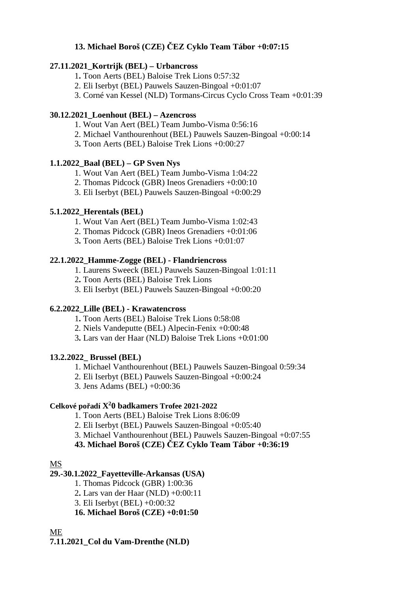# **13. Michael Boroš (CZE) ČEZ Cyklo Team Tábor +0:07:15**

## **27.11.2021\_Kortrijk (BEL) – Urbancross**

- 1**.** Toon Aerts (BEL) Baloise Trek Lions 0:57:32
- 2. Eli Iserbyt (BEL) Pauwels Sauzen-Bingoal +0:01:07
- 3. Corné van Kessel (NLD) Tormans-Circus Cyclo Cross Team +0:01:39

# **30.12.2021\_Loenhout (BEL) – Azencross**

- 1. Wout Van Aert (BEL) Team Jumbo-Visma 0:56:16
- 2. Michael Vanthourenhout (BEL) Pauwels Sauzen-Bingoal +0:00:14
- 3**.** Toon Aerts (BEL) Baloise Trek Lions +0:00:27

## **1.1.2022\_Baal (BEL) – GP Sven Nys**

- 1. Wout Van Aert (BEL) Team Jumbo-Visma 1:04:22
- 2. Thomas Pidcock (GBR) Ineos Grenadiers +0:00:10
- 3. Eli Iserbyt (BEL) Pauwels Sauzen-Bingoal +0:00:29

## **5.1.2022\_Herentals (BEL)**

- 1. Wout Van Aert (BEL) Team Jumbo-Visma 1:02:43
- 2. Thomas Pidcock (GBR) Ineos Grenadiers +0:01:06
- 3**.** Toon Aerts (BEL) Baloise Trek Lions +0:01:07

# **22.1.2022\_Hamme-Zogge (BEL) - Flandriencross**

- 1. Laurens Sweeck (BEL) Pauwels Sauzen-Bingoal 1:01:11
- 2**.** Toon Aerts (BEL) Baloise Trek Lions
- 3. Eli Iserbyt (BEL) Pauwels Sauzen-Bingoal +0:00:20

## **6.2.2022\_Lille (BEL) - Krawatencross**

- 1**.** Toon Aerts (BEL) Baloise Trek Lions 0:58:08
- 2. Niels Vandeputte (BEL) Alpecin-Fenix +0:00:48
- 3**.** Lars van der Haar (NLD) Baloise Trek Lions +0:01:00

## **13.2.2022\_ Brussel (BEL)**

- 1. Michael Vanthourenhout (BEL) Pauwels Sauzen-Bingoal 0:59:34
- 2. Eli Iserbyt (BEL) Pauwels Sauzen-Bingoal +0:00:24
- 3. Jens Adams (BEL) +0:00:36

# **Celkové pořadí X 2 0 badkamers Trofee 2021-2022**

- 1. Toon Aerts (BEL) Baloise Trek Lions 8:06:09
- 2. Eli Iserbyt (BEL) Pauwels Sauzen-Bingoal +0:05:40
- 3. Michael Vanthourenhout (BEL) Pauwels Sauzen-Bingoal +0:07:55

**43. Michael Boroš (CZE) ČEZ Cyklo Team Tábor +0:36:19**

# MS

# **29.-30.1.2022\_Fayetteville-Arkansas (USA)**

- 1. Thomas Pidcock (GBR) 1:00:36
- 2**.** Lars van der Haar (NLD) +0:00:11
- 3. Eli Iserbyt (BEL) +0:00:32

**16. Michael Boroš (CZE) +0:01:50**

ME

**7.11.2021\_Col du Vam-Drenthe (NLD)**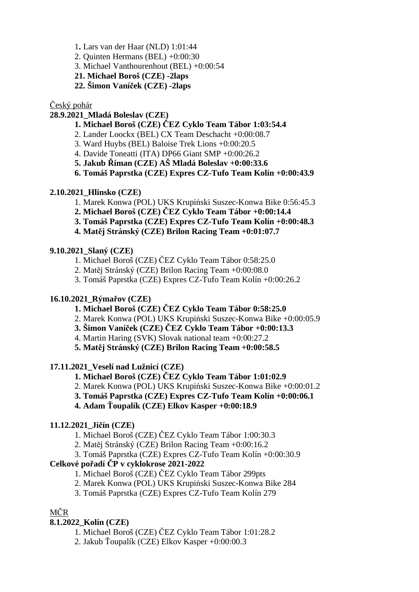- 1**.** Lars van der Haar (NLD) 1:01:44
- 2. Quinten Hermans (BEL) +0:00:30
- 3. Michael Vanthourenhout (BEL) +0:00:54
- **21. Michael Boroš (CZE) -2laps**
- **22. Šimon Vaníček (CZE) -2laps**

### Český pohár

# **28.9.2021\_Mladá Boleslav (CZE)**

- **1. Michael Boroš (CZE) ČEZ Cyklo Team Tábor 1:03:54.4**
- 2. Lander Loockx (BEL) CX Team Deschacht +0:00:08.7
- 3. Ward Huybs (BEL) Baloise Trek Lions +0:00:20.5
- 4. Davide Toneatti (ITA) DP66 Giant SMP +0:00:26.2
- **5. Jakub Říman (CZE) AŠ Mladá Boleslav +0:00:33.6**
- **6. Tomáš Paprstka (CZE) Expres CZ-Tufo Team Kolín +0:00:43.9**

### **2.10.2021\_Hlinsko (CZE)**

- 1. Marek Konwa (POL) UKS Krupiński Suszec-Konwa Bike 0:56:45.3
- **2. Michael Boroš (CZE) ČEZ Cyklo Team Tábor +0:00:14.4**
- **3. Tomáš Paprstka (CZE) Expres CZ-Tufo Team Kolín +0:00:48.3**
- **4. Matěj Stránský (CZE) Brilon Racing Team +0:01:07.7**

### **9.10.2021\_Slaný (CZE)**

- 1. Michael Boroš (CZE) ČEZ Cyklo Team Tábor 0:58:25.0
- 2. Matěj Stránský (CZE) Brilon Racing Team +0:00:08.0
- 3. Tomáš Paprstka (CZE) Expres CZ-Tufo Team Kolín +0:00:26.2

### **16.10.2021\_Rýmařov (CZE)**

- **1. Michael Boroš (CZE) ČEZ Cyklo Team Tábor 0:58:25.0**
- 2. Marek Konwa (POL) UKS Krupiński Suszec-Konwa Bike +0:00:05.9
- **3. Šimon Vaníček (CZE) ČEZ Cyklo Team Tábor +0:00:13.3**
- 4. Martin Haring (SVK) Slovak national team +0:00:27.2
- **5. Matěj Stránský (CZE) Brilon Racing Team +0:00:58.5**

## **17.11.2021\_Veselí nad Lužnicí (CZE)**

- **1. Michael Boroš (CZE) ČEZ Cyklo Team Tábor 1:01:02.9**
- 2. Marek Konwa (POL) UKS Krupiński Suszec-Konwa Bike +0:00:01.2
- **3. Tomáš Paprstka (CZE) Expres CZ-Tufo Team Kolín +0:00:06.1**
- **4. Adam Ťoupalík (CZE) Elkov Kasper +0:00:18.9**

## **11.12.2021\_Jičín (CZE)**

- 1. Michael Boroš (CZE) ČEZ Cyklo Team Tábor 1:00:30.3
- 2. Matěj Stránský (CZE) Brilon Racing Team +0:00:16.2
- 3. Tomáš Paprstka (CZE) Expres CZ-Tufo Team Kolín +0:00:30.9

## **Celkové pořadí ČP v cyklokrose 2021-2022**

- 1. Michael Boroš (CZE) ČEZ Cyklo Team Tábor 299pts
- 2. Marek Konwa (POL) UKS Krupiński Suszec-Konwa Bike 284
- 3. Tomáš Paprstka (CZE) Expres CZ-Tufo Team Kolín 279

## MČR

## **8.1.2022\_Kolín (CZE)**

- 1. Michael Boroš (CZE) ČEZ Cyklo Team Tábor 1:01:28.2
- 2. Jakub Ťoupalík (CZE) Elkov Kasper +0:00:00.3